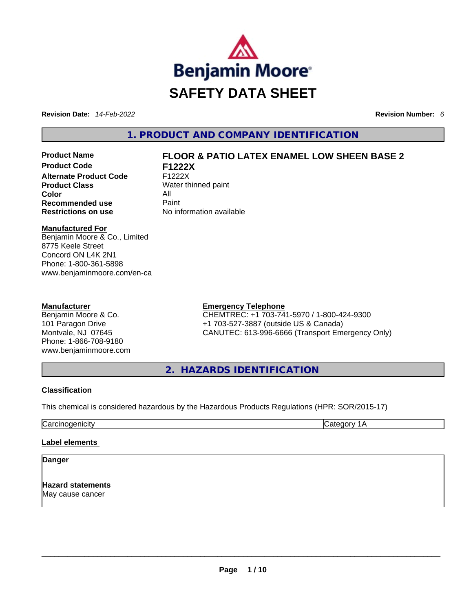

**Revision Date:** *14-Feb-2022* **Revision Number:** *6*

**1. PRODUCT AND COMPANY IDENTIFICATION** 

**Product Code F1222X Alternate Product Code** F1222X **Product Class** Water thinned paint **Color** All **Recommended use Paint Restrictions on use** No information available

# **Product Name FLOOR & PATIO LATEX ENAMEL LOW SHEEN BASE 2**

**Manufactured For**

Benjamin Moore & Co., Limited 8775 Keele Street Concord ON L4K 2N1 Phone: 1-800-361-5898 www.benjaminmoore.com/en-ca

### **Manufacturer**

Benjamin Moore & Co. 101 Paragon Drive Montvale, NJ 07645 Phone: 1-866-708-9180 www.benjaminmoore.com

### **Emergency Telephone**

CHEMTREC: +1 703-741-5970 / 1-800-424-9300 +1 703-527-3887 (outside US & Canada) CANUTEC: 613-996-6666 (Transport Emergency Only)

**2. HAZARDS IDENTIFICATION** 

### **Classification**

This chemical is considered hazardous by the Hazardous Products Regulations (HPR: SOR/2015-17)

Carcinogenicity Category 1A

### **Label elements**

**Danger** 

**Hazard statements** May cause cancer \_\_\_\_\_\_\_\_\_\_\_\_\_\_\_\_\_\_\_\_\_\_\_\_\_\_\_\_\_\_\_\_\_\_\_\_\_\_\_\_\_\_\_\_\_\_\_\_\_\_\_\_\_\_\_\_\_\_\_\_\_\_\_\_\_\_\_\_\_\_\_\_\_\_\_\_\_\_\_\_\_\_\_\_\_\_\_\_\_\_\_\_\_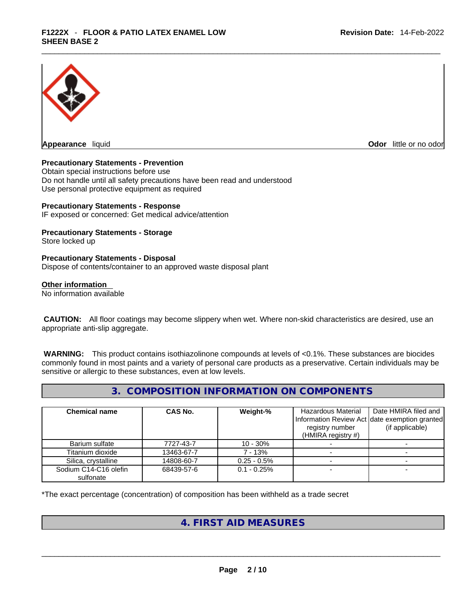

**Appearance** liquid

**Odor** little or no odor

### **Precautionary Statements - Prevention**

Obtain special instructions before use Do not handle until all safety precautions have been read and understood Use personal protective equipment as required

### **Precautionary Statements - Response**

IF exposed or concerned: Get medical advice/attention

# **Precautionary Statements - Storage**

Store locked up

### **Precautionary Statements - Disposal**

Dispose of contents/container to an approved waste disposal plant

### **Other information**

No information available

 **CAUTION:** All floor coatings may become slippery when wet. Where non-skid characteristics are desired, use an appropriate anti-slip aggregate.

 **WARNING:** This product contains isothiazolinone compounds at levels of <0.1%. These substances are biocides commonly found in most paints and a variety of personal care products as a preservative. Certain individuals may be sensitive or allergic to these substances, even at low levels.

# **3. COMPOSITION INFORMATION ON COMPONENTS**

| <b>Chemical name</b>               | CAS No.    | Weight-%       | Hazardous Material<br>registry number<br>(HMIRA registry #) | Date HMIRA filed and<br>Information Review Act date exemption granted<br>(if applicable) |
|------------------------------------|------------|----------------|-------------------------------------------------------------|------------------------------------------------------------------------------------------|
| Barium sulfate                     | 7727-43-7  | $10 - 30\%$    |                                                             |                                                                                          |
| Titanium dioxide                   | 13463-67-7 | 7 - 13%        |                                                             |                                                                                          |
| Silica, crystalline                | 14808-60-7 | $0.25 - 0.5%$  |                                                             |                                                                                          |
| Sodium C14-C16 olefin<br>sulfonate | 68439-57-6 | $0.1 - 0.25\%$ |                                                             |                                                                                          |

\*The exact percentage (concentration) of composition has been withheld as a trade secret

# **4. FIRST AID MEASURES**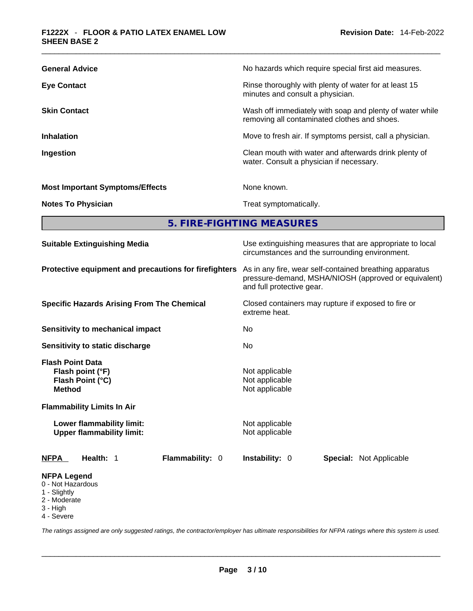| <b>General Advice</b>                  | No hazards which require special first aid measures.                                                     |
|----------------------------------------|----------------------------------------------------------------------------------------------------------|
| <b>Eye Contact</b>                     | Rinse thoroughly with plenty of water for at least 15<br>minutes and consult a physician.                |
| <b>Skin Contact</b>                    | Wash off immediately with soap and plenty of water while<br>removing all contaminated clothes and shoes. |
| <b>Inhalation</b>                      | Move to fresh air. If symptoms persist, call a physician.                                                |
| Ingestion                              | Clean mouth with water and afterwards drink plenty of<br>water. Consult a physician if necessary.        |
| <b>Most Important Symptoms/Effects</b> | None known.                                                                                              |
| <b>Notes To Physician</b>              | Treat symptomatically.                                                                                   |
|                                        |                                                                                                          |

**5. FIRE-FIGHTING MEASURES** 

| <b>Suitable Extinguishing Media</b>                                                                                                                                                    | Use extinguishing measures that are appropriate to local<br>circumstances and the surrounding environment.                                   |  |  |  |
|----------------------------------------------------------------------------------------------------------------------------------------------------------------------------------------|----------------------------------------------------------------------------------------------------------------------------------------------|--|--|--|
| Protective equipment and precautions for firefighters                                                                                                                                  | As in any fire, wear self-contained breathing apparatus<br>pressure-demand, MSHA/NIOSH (approved or equivalent)<br>and full protective gear. |  |  |  |
| <b>Specific Hazards Arising From The Chemical</b>                                                                                                                                      | Closed containers may rupture if exposed to fire or<br>extreme heat.                                                                         |  |  |  |
| <b>Sensitivity to mechanical impact</b>                                                                                                                                                | No.                                                                                                                                          |  |  |  |
| Sensitivity to static discharge                                                                                                                                                        | No                                                                                                                                           |  |  |  |
| <b>Flash Point Data</b><br>Flash point (°F)<br>Flash Point (°C)<br><b>Method</b><br><b>Flammability Limits In Air</b><br>Lower flammability limit:<br><b>Upper flammability limit:</b> | Not applicable<br>Not applicable<br>Not applicable<br>Not applicable<br>Not applicable                                                       |  |  |  |
| Flammability: 0<br>Health: 1<br>NFPA                                                                                                                                                   | <b>Instability: 0</b><br><b>Special: Not Applicable</b>                                                                                      |  |  |  |
| <b>NFPA Legend</b><br>0 - Not Hazardous<br>1 - Slightly<br>2 - Moderate<br>3 - High                                                                                                    |                                                                                                                                              |  |  |  |

4 - Severe

*The ratings assigned are only suggested ratings, the contractor/employer has ultimate responsibilities for NFPA ratings where this system is used.*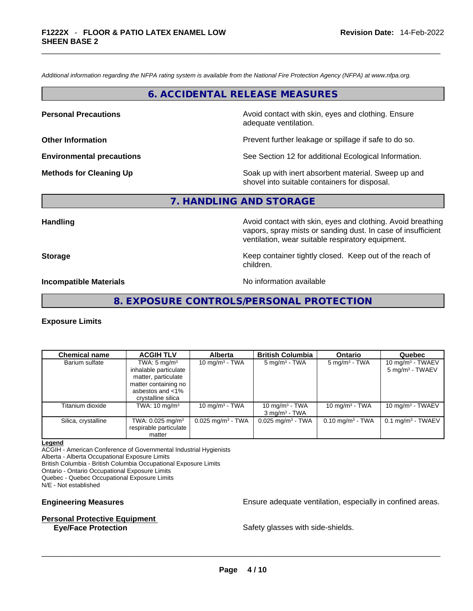*Additional information regarding the NFPA rating system is available from the National Fire Protection Agency (NFPA) at www.nfpa.org.* 

### **6. ACCIDENTAL RELEASE MEASURES**

**Personal Precautions Avoid contact with skin, eyes and clothing. Ensure Personal Precautions** adequate ventilation.

**Other Information Other Information Prevent further leakage or spillage if safe to do so.** 

**Environmental precautions** See Section 12 for additional Ecological Information.

**Methods for Cleaning Up Example 20 All 20 All 20 All 20 Soak** up with inert absorbent material. Sweep up and shovel into suitable containers for disposal.

# **7. HANDLING AND STORAGE**

**Handling Handling Avoid contact with skin, eyes and clothing. Avoid breathing** vapors, spray mists or sanding dust. In case of insufficient ventilation, wear suitable respiratory equipment.

**Storage Example 2 Keep container tightly closed.** Keep out of the reach of

**Incompatible Materials Materials** No information available

### **8. EXPOSURE CONTROLS/PERSONAL PROTECTION**

children.

### **Exposure Limits**

| <b>Chemical name</b> | <b>ACGIH TLV</b>                                                                                                                          | <b>Alberta</b>                  | <b>British Columbia</b>                          | <b>Ontario</b>              | Quebec                                            |
|----------------------|-------------------------------------------------------------------------------------------------------------------------------------------|---------------------------------|--------------------------------------------------|-----------------------------|---------------------------------------------------|
| Barium sulfate       | TWA: $5 \text{ mg/m}^3$<br>inhalable particulate<br>matter, particulate<br>matter containing no<br>asbestos and <1%<br>crystalline silica | 10 mg/m $3$ - TWA               | $5 \text{ mg/m}^3$ - TWA                         | $5 \text{ mg/m}^3$ - TWA    | 10 mg/m $3$ - TWAEV<br>$5 \text{ mg/m}^3$ - TWAEV |
| Titanium dioxide     | TWA: $10 \text{ mg/m}^3$                                                                                                                  | 10 mg/m $3$ - TWA               | 10 mg/m $3$ - TWA<br>$3$ mg/m <sup>3</sup> - TWA | 10 mg/m $3$ - TWA           | 10 mg/m $3$ - TWAEV                               |
| Silica, crystalline  | TWA: $0.025$ mg/m <sup>3</sup><br>respirable particulate<br>matter                                                                        | $0.025$ mg/m <sup>3</sup> - TWA | $0.025$ mg/m <sup>3</sup> - TWA                  | $0.10 \text{ mg/m}^3$ - TWA | $0.1$ mg/m <sup>3</sup> - TWAEV                   |

### **Legend**

ACGIH - American Conference of Governmental Industrial Hygienists

Alberta - Alberta Occupational Exposure Limits

British Columbia - British Columbia Occupational Exposure Limits

Ontario - Ontario Occupational Exposure Limits

Quebec - Quebec Occupational Exposure Limits

N/E - Not established

### **Personal Protective Equipment**

**Engineering Measures Ensure 2018** Ensure adequate ventilation, especially in confined areas.

**Eye/Face Protection** Safety glasses with side-shields. \_\_\_\_\_\_\_\_\_\_\_\_\_\_\_\_\_\_\_\_\_\_\_\_\_\_\_\_\_\_\_\_\_\_\_\_\_\_\_\_\_\_\_\_\_\_\_\_\_\_\_\_\_\_\_\_\_\_\_\_\_\_\_\_\_\_\_\_\_\_\_\_\_\_\_\_\_\_\_\_\_\_\_\_\_\_\_\_\_\_\_\_\_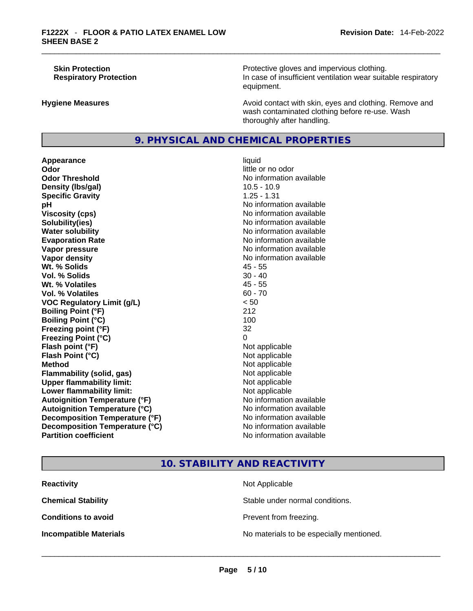**Skin Protection Protection Protective gloves and impervious clothing. Respiratory Protection In case of insufficient ventilation wear suitable respiratory** equipment.

**Hygiene Measures Avoid contact with skin, eyes and clothing. Remove and Avoid contact with skin, eyes and clothing. Remove and** wash contaminated clothing before re-use. Wash thoroughly after handling.

# **9. PHYSICAL AND CHEMICAL PROPERTIES**

**Appearance** liquid **Odor Odor Odor Odor Odor Odor** *little or no odor little or no odor* **Odor Threshold** No information available **Density (lbs/gal)** 10.5 - 10.9 **Specific Gravity** 1.25 - 1.31 **pH**<br>
Viscosity (cps) The Contract of the Contract of the Viscosity (cps) and Viscosity (cps) **Solubility(ies)** No information available in the solution of the solution of the solution available in the solution of the solution of the solution of the solution of the solution of the solution of the solution of the so **Water solubility No information available No information available Evaporation Rate No information available No information available Vapor pressure No information available No information available Vapor density No information available No information available Wt. % Solids** 45 - 55 **Vol. % Solids** 30 - 40 **Wt. % Volatiles Vol. % Volatiles** 60 - 70 **VOC Regulatory Limit (g/L)** < 50 **Boiling Point (°F)** 212 **Boiling Point (°C)** 100 **Freezing point (°F)** 32 **Freezing Point (°C)** 0 **Flash point (°F)** Not applicable **Flash Point (°C)** Not applicable **Method**<br> **Plammability (solid, gas)**<br> **Commability (solid, gas)**<br> **Not** applicable **Flammability (solid, gas)** Not applicable Not applicable<br>
Upper flammability limit: Not applicable **Upper flammability limit:**<br> **Lower flammability limit:**<br>
Not applicable<br>
Not applicable **Lower flammability limit:**<br> **Autoignition Temperature (°F)** Not applicable Not applicable in the Muslim Muslim Available **Autoignition Temperature (°F)**<br> **Autoignition Temperature (°C)** No information available **Autoignition Temperature (°C) Decomposition Temperature (°F)** No information available **Decomposition Temperature (°C)** No information available **Partition coefficient** No information available

# **Viscosity (cps)** No information available

# **10. STABILITY AND REACTIVITY**

| <b>Reactivity</b>             | Not Applicable                           |
|-------------------------------|------------------------------------------|
| <b>Chemical Stability</b>     | Stable under normal conditions.          |
| <b>Conditions to avoid</b>    | Prevent from freezing.                   |
| <b>Incompatible Materials</b> | No materials to be especially mentioned. |
|                               |                                          |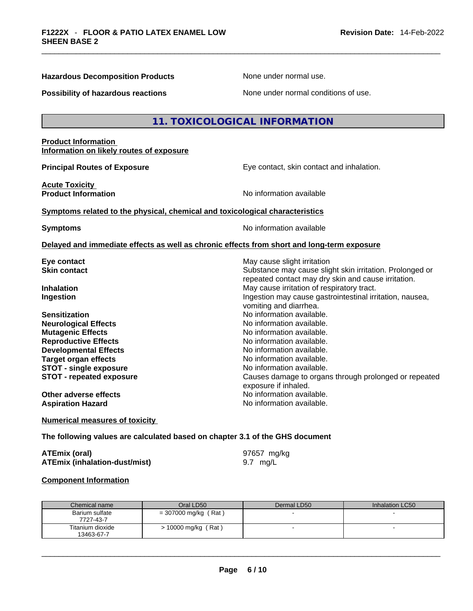$\mathsf{L}$ 

**Hazardous Decomposition Products** None under normal use.

| Possibility of hazardous reactions                                                                                                                                                                                                                                                                                 | None under normal conditions of use.                                                                                                                                                                                                                                                                                                                                                                                                                                                                                                                   |
|--------------------------------------------------------------------------------------------------------------------------------------------------------------------------------------------------------------------------------------------------------------------------------------------------------------------|--------------------------------------------------------------------------------------------------------------------------------------------------------------------------------------------------------------------------------------------------------------------------------------------------------------------------------------------------------------------------------------------------------------------------------------------------------------------------------------------------------------------------------------------------------|
|                                                                                                                                                                                                                                                                                                                    | 11. TOXICOLOGICAL INFORMATION                                                                                                                                                                                                                                                                                                                                                                                                                                                                                                                          |
| <b>Product Information</b><br>Information on likely routes of exposure                                                                                                                                                                                                                                             |                                                                                                                                                                                                                                                                                                                                                                                                                                                                                                                                                        |
| <b>Principal Routes of Exposure</b>                                                                                                                                                                                                                                                                                | Eye contact, skin contact and inhalation.                                                                                                                                                                                                                                                                                                                                                                                                                                                                                                              |
| <b>Acute Toxicity</b><br><b>Product Information</b>                                                                                                                                                                                                                                                                | No information available                                                                                                                                                                                                                                                                                                                                                                                                                                                                                                                               |
| Symptoms related to the physical, chemical and toxicological characteristics                                                                                                                                                                                                                                       |                                                                                                                                                                                                                                                                                                                                                                                                                                                                                                                                                        |
| <b>Symptoms</b>                                                                                                                                                                                                                                                                                                    | No information available                                                                                                                                                                                                                                                                                                                                                                                                                                                                                                                               |
|                                                                                                                                                                                                                                                                                                                    | Delayed and immediate effects as well as chronic effects from short and long-term exposure                                                                                                                                                                                                                                                                                                                                                                                                                                                             |
| Eye contact<br>Skin contact<br>Inhalation<br><b>Ingestion</b><br><b>Sensitization</b><br><b>Neurological Effects</b><br><b>Mutagenic Effects</b><br><b>Reproductive Effects</b><br><b>Developmental Effects</b><br><b>Target organ effects</b><br><b>STOT - single exposure</b><br><b>STOT - repeated exposure</b> | May cause slight irritation<br>Substance may cause slight skin irritation. Prolonged or<br>repeated contact may dry skin and cause irritation.<br>May cause irritation of respiratory tract.<br>Ingestion may cause gastrointestinal irritation, nausea,<br>vomiting and diarrhea.<br>No information available.<br>No information available.<br>No information available.<br>No information available.<br>No information available.<br>No information available.<br>No information available.<br>Causes damage to organs through prolonged or repeated |
| Other adverse effects<br><b>Aspiration Hazard</b>                                                                                                                                                                                                                                                                  | exposure if inhaled.<br>No information available.<br>No information available.                                                                                                                                                                                                                                                                                                                                                                                                                                                                         |
| <b>Numerical measures of toxicity</b>                                                                                                                                                                                                                                                                              |                                                                                                                                                                                                                                                                                                                                                                                                                                                                                                                                                        |
| The following values are calculated based on chapter 3.1 of the GHS document                                                                                                                                                                                                                                       |                                                                                                                                                                                                                                                                                                                                                                                                                                                                                                                                                        |
| <b>ATEmix (oral)</b><br><b>ATEmix (inhalation-dust/mist)</b>                                                                                                                                                                                                                                                       | 97657 mg/kg<br>9.7 mg/L                                                                                                                                                                                                                                                                                                                                                                                                                                                                                                                                |
| <b>Component Information</b>                                                                                                                                                                                                                                                                                       |                                                                                                                                                                                                                                                                                                                                                                                                                                                                                                                                                        |

| Chemical name                  | Oral LD50             | Dermal LD50 | Inhalation LC50 |
|--------------------------------|-----------------------|-------------|-----------------|
| Barium sulfate<br>7727-43-7    | = 307000 mg/kg (Rat)  |             |                 |
| Titanium dioxide<br>13463-67-7 | $> 10000$ mg/kg (Rat) |             |                 |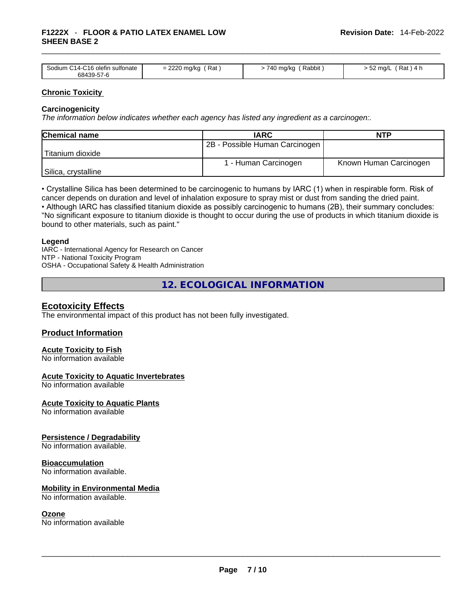### \_\_\_\_\_\_\_\_\_\_\_\_\_\_\_\_\_\_\_\_\_\_\_\_\_\_\_\_\_\_\_\_\_\_\_\_\_\_\_\_\_\_\_\_\_\_\_\_\_\_\_\_\_\_\_\_\_\_\_\_\_\_\_\_\_\_\_\_\_\_\_\_\_\_\_\_\_\_\_\_\_\_\_\_\_\_\_\_\_\_\_\_\_ **F1222X** - **FLOOR & PATIO LATEX ENAMEL LOW SHEEN BASE 2**

|                                 | າາາດ                |                      |                                      |
|---------------------------------|---------------------|----------------------|--------------------------------------|
| Sodium C14-C16 olefin sulfonate | Rat<br>= 2220 mg/kg | Rabbit<br>-740 ma/ka | Rat <sup>'</sup><br>.52 ma/L<br>\4 h |
| 68439-57-6                      |                     |                      |                                      |

### **Chronic Toxicity**

### **Carcinogenicity**

*The information below indicates whether each agency has listed any ingredient as a carcinogen:.* 

| <b>Chemical name</b> | <b>IARC</b>                    | <b>NTP</b>             |
|----------------------|--------------------------------|------------------------|
|                      | 2B - Possible Human Carcinogen |                        |
| 'Titanium dioxide    |                                |                        |
|                      | 1 - Human Carcinogen           | Known Human Carcinogen |
| Silica, crystalline  |                                |                        |

• Crystalline Silica has been determined to be carcinogenic to humans by IARC (1) when in respirable form. Risk of cancer depends on duration and level of inhalation exposure to spray mist or dust from sanding the dried paint.

• Although IARC has classified titanium dioxide as possibly carcinogenic to humans (2B), their summary concludes: "No significant exposure to titanium dioxide is thought to occur during the use of products in which titanium dioxide is bound to other materials, such as paint."

### **Legend**

IARC - International Agency for Research on Cancer NTP - National Toxicity Program OSHA - Occupational Safety & Health Administration

**12. ECOLOGICAL INFORMATION** 

### **Ecotoxicity Effects**

The environmental impact of this product has not been fully investigated.

### **Product Information**

# **Acute Toxicity to Fish**

No information available

### **Acute Toxicity to Aquatic Invertebrates**

No information available

**Acute Toxicity to Aquatic Plants**

No information available

### **Persistence / Degradability**

No information available.

### **Bioaccumulation**

No information available.

### **Mobility in Environmental Media**

No information available.

**Ozone**<br>No information available No information available \_\_\_\_\_\_\_\_\_\_\_\_\_\_\_\_\_\_\_\_\_\_\_\_\_\_\_\_\_\_\_\_\_\_\_\_\_\_\_\_\_\_\_\_\_\_\_\_\_\_\_\_\_\_\_\_\_\_\_\_\_\_\_\_\_\_\_\_\_\_\_\_\_\_\_\_\_\_\_\_\_\_\_\_\_\_\_\_\_\_\_\_\_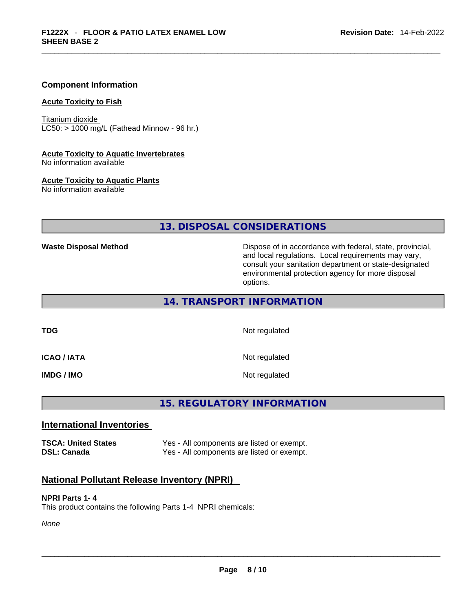### **Component Information**

### **Acute Toxicity to Fish**

Titanium dioxide  $LC50:$  > 1000 mg/L (Fathead Minnow - 96 hr.)

### **Acute Toxicity to Aquatic Invertebrates**

No information available

### **Acute Toxicity to Aquatic Plants**

No information available

## **13. DISPOSAL CONSIDERATIONS**

**Waste Disposal Method** Dispose of in accordance with federal, state, provincial, and local regulations. Local requirements may vary, consult your sanitation department or state-designated environmental protection agency for more disposal options.

**14. TRANSPORT INFORMATION** 

**TDG** Not regulated

**ICAO / IATA** Not regulated

**IMDG / IMO** Not regulated

# **15. REGULATORY INFORMATION**

### **International Inventories**

**TSCA: United States** Yes - All components are listed or exempt. **DSL: Canada** Yes - All components are listed or exempt.

### **National Pollutant Release Inventory (NPRI)**

### **NPRI Parts 1- 4**

This product contains the following Parts 1-4 NPRI chemicals:

*None*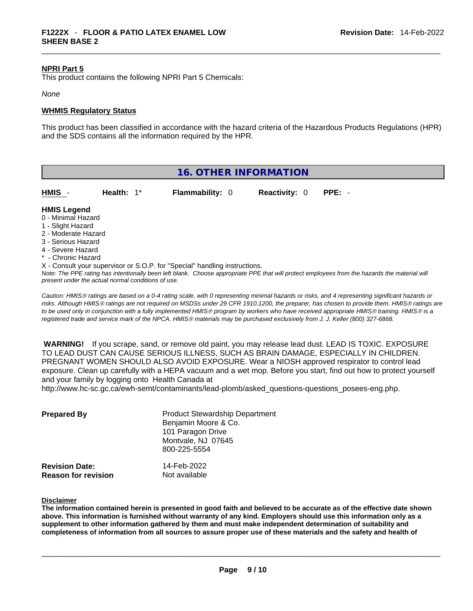### **NPRI Part 5**

This product contains the following NPRI Part 5 Chemicals:

### *None*

### **WHMIS Regulatory Status**

This product has been classified in accordance with the hazard criteria of the Hazardous Products Regulations (HPR) and the SDS contains all the information required by the HPR.

| <b>16. OTHER INFORMATION</b> |  |
|------------------------------|--|
|------------------------------|--|

| HMIS                                     | Health: $1^*$ | <b>Flammability: 0</b> | <b>Reactivity: 0</b> | PPE: - |  |
|------------------------------------------|---------------|------------------------|----------------------|--------|--|
| <b>HMIS Legend</b><br>0 - Minimal Hazard |               |                        |                      |        |  |

- 
- 1 Slight Hazard
- 2 Moderate Hazard
- 3 Serious Hazard
- 4 Severe Hazard
- **Chronic Hazard**

X - Consult your supervisor or S.O.P. for "Special" handling instructions.

Note: The PPE rating has intentionally been left blank. Choose appropriate PPE that will protect employees from the hazards the material will *present under the actual normal conditions of use.* 

*Caution: HMISÒ ratings are based on a 0-4 rating scale, with 0 representing minimal hazards or risks, and 4 representing significant hazards or risks. Although HMISÒ ratings are not required on MSDSs under 29 CFR 1910.1200, the preparer, has chosen to provide them. HMISÒ ratings are to be used only in conjunction with a fully implemented HMISÒ program by workers who have received appropriate HMISÒ training. HMISÒ is a registered trade and service mark of the NPCA. HMISÒ materials may be purchased exclusively from J. J. Keller (800) 327-6868.* 

 **WARNING!** If you scrape, sand, or remove old paint, you may release lead dust. LEAD IS TOXIC. EXPOSURE TO LEAD DUST CAN CAUSE SERIOUS ILLNESS, SUCH AS BRAIN DAMAGE, ESPECIALLY IN CHILDREN. PREGNANT WOMEN SHOULD ALSO AVOID EXPOSURE.Wear a NIOSH approved respirator to control lead exposure. Clean up carefully with a HEPA vacuum and a wet mop. Before you start, find out how to protect yourself and your family by logging onto Health Canada at

http://www.hc-sc.gc.ca/ewh-semt/contaminants/lead-plomb/asked\_questions-questions\_posees-eng.php.

| <b>Prepared By</b>                                  | <b>Product Stewardship Department</b><br>Benjamin Moore & Co.<br>101 Paragon Drive<br>Montvale, NJ 07645<br>800-225-5554 |  |
|-----------------------------------------------------|--------------------------------------------------------------------------------------------------------------------------|--|
| <b>Revision Date:</b><br><b>Reason for revision</b> | 14-Feb-2022<br>Not available                                                                                             |  |

### **Disclaimer**

The information contained herein is presented in good faith and believed to be accurate as of the effective date shown above. This information is furnished without warranty of any kind. Employers should use this information only as a **supplement to other information gathered by them and must make independent determination of suitability and** completeness of information from all sources to assure proper use of these materials and the safety and health of